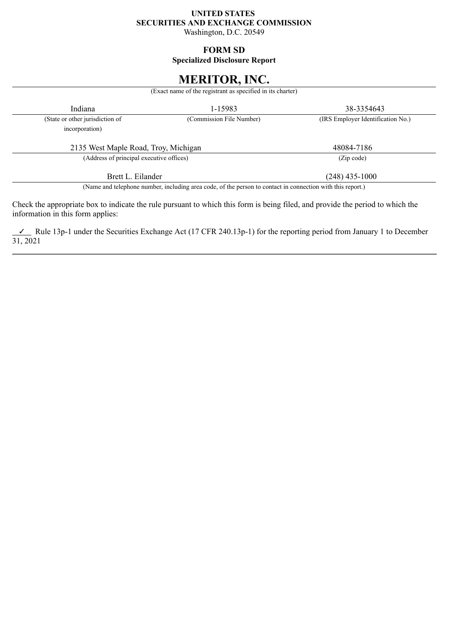## **UNITED STATES SECURITIES AND EXCHANGE COMMISSION**

Washington, D.C. 20549

## **FORM SD**

**Specialized Disclosure Report**

# **MERITOR, INC.**

(Exact name of the registrant as specified in its charter)

| Indiana                                  | 1-15983                                                                                                    | 38-3354643                        |  |
|------------------------------------------|------------------------------------------------------------------------------------------------------------|-----------------------------------|--|
| (State or other jurisdiction of          | (Commission File Number)                                                                                   | (IRS Employer Identification No.) |  |
| incorporation)                           |                                                                                                            |                                   |  |
| 2135 West Maple Road, Troy, Michigan     |                                                                                                            | 48084-7186                        |  |
| (Address of principal executive offices) |                                                                                                            | (Zip code)                        |  |
| Brett L. Eilander                        |                                                                                                            | $(248)$ 435-1000                  |  |
|                                          | (Name and telephone number, including area code, of the person to contact in connection with this report.) |                                   |  |

Check the appropriate box to indicate the rule pursuant to which this form is being filed, and provide the period to which the information in this form applies:

✓ Rule 13p-1 under the Securities Exchange Act (17 CFR 240.13p-1) for the reporting period from January 1 to December 31, 2021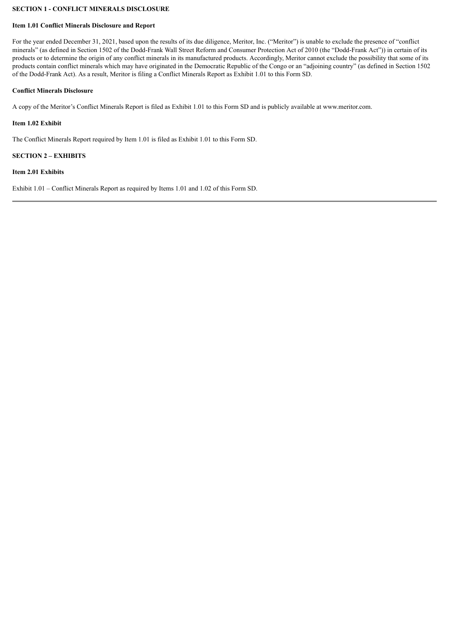## **SECTION 1 - CONFLICT MINERALS DISCLOSURE**

#### **Item 1.01 Conflict Minerals Disclosure and Report**

For the year ended December 31, 2021, based upon the results of its due diligence, Meritor, Inc. ("Meritor") is unable to exclude the presence of "conflict" minerals" (as defined in Section 1502 of the Dodd-Frank Wall Street Reform and Consumer Protection Act of 2010 (the "Dodd-Frank Act")) in certain of its products or to determine the origin of any conflict minerals in its manufactured products. Accordingly, Meritor cannot exclude the possibility that some of its products contain conflict minerals which may have originated in the Democratic Republic of the Congo or an "adjoining country" (as defined in Section 1502 of the Dodd-Frank Act). As a result, Meritor is filing a Conflict Minerals Report as Exhibit 1.01 to this Form SD.

#### **Conflict Minerals Disclosure**

A copy of the Meritor's Conflict Minerals Report is filed as Exhibit 1.01 to this Form SD and is publicly available at www.meritor.com.

#### **Item 1.02 Exhibit**

The Conflict Minerals Report required by Item 1.01 is filed as Exhibit 1.01 to this Form SD.

#### **SECTION 2 – EXHIBITS**

#### **Item 2.01 Exhibits**

Exhibit 1.01 – Conflict Minerals Report as required by Items 1.01 and 1.02 of this Form SD.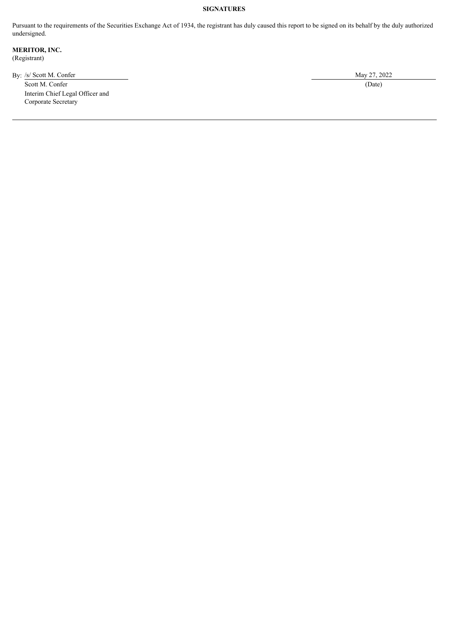## **SIGNATURES**

Pursuant to the requirements of the Securities Exchange Act of 1934, the registrant has duly caused this report to be signed on its behalf by the duly authorized undersigned.

**MERITOR, INC.** (Registrant)

By: /s/ Scott M. Confer May 27, 2022

Scott M. Confer (Date) (Date) Interim Chief Legal Officer and Corporate Secretary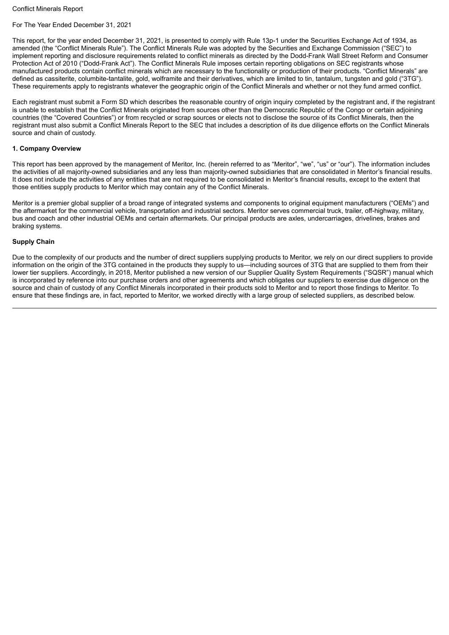## For The Year Ended December 31, 2021

This report, for the year ended December 31, 2021, is presented to comply with Rule 13p-1 under the Securities Exchange Act of 1934, as amended (the "Conflict Minerals Rule"). The Conflict Minerals Rule was adopted by the Securities and Exchange Commission ("SEC") to implement reporting and disclosure requirements related to conflict minerals as directed by the Dodd-Frank Wall Street Reform and Consumer Protection Act of 2010 ("Dodd-Frank Act"). The Conflict Minerals Rule imposes certain reporting obligations on SEC registrants whose manufactured products contain conflict minerals which are necessary to the functionality or production of their products. "Conflict Minerals" are defined as cassiterite, columbite-tantalite, gold, wolframite and their derivatives, which are limited to tin, tantalum, tungsten and gold ("3TG"). These requirements apply to registrants whatever the geographic origin of the Conflict Minerals and whether or not they fund armed conflict.

Each registrant must submit a Form SD which describes the reasonable country of origin inquiry completed by the registrant and, if the registrant is unable to establish that the Conflict Minerals originated from sources other than the Democratic Republic of the Congo or certain adjoining countries (the "Covered Countries") or from recycled or scrap sources or elects not to disclose the source of its Conflict Minerals, then the registrant must also submit a Conflict Minerals Report to the SEC that includes a description of its due diligence efforts on the Conflict Minerals source and chain of custody.

#### **1. Company Overview**

This report has been approved by the management of Meritor, Inc. (herein referred to as "Meritor", "we", "us" or "our"). The information includes the activities of all majority-owned subsidiaries and any less than majority-owned subsidiaries that are consolidated in Meritor's financial results. It does not include the activities of any entities that are not required to be consolidated in Meritor's financial results, except to the extent that those entities supply products to Meritor which may contain any of the Conflict Minerals.

Meritor is a premier global supplier of a broad range of integrated systems and components to original equipment manufacturers ("OEMs") and the aftermarket for the commercial vehicle, transportation and industrial sectors. Meritor serves commercial truck, trailer, off-highway, military, bus and coach and other industrial OEMs and certain aftermarkets. Our principal products are axles, undercarriages, drivelines, brakes and braking systems.

#### **Supply Chain**

Due to the complexity of our products and the number of direct suppliers supplying products to Meritor, we rely on our direct suppliers to provide information on the origin of the 3TG contained in the products they supply to us—including sources of 3TG that are supplied to them from their lower tier suppliers. Accordingly, in 2018, Meritor published a new version of our Supplier Quality System Requirements ("SQSR") manual which is incorporated by reference into our purchase orders and other agreements and which obligates our suppliers to exercise due diligence on the source and chain of custody of any Conflict Minerals incorporated in their products sold to Meritor and to report those findings to Meritor. To ensure that these findings are, in fact, reported to Meritor, we worked directly with a large group of selected suppliers, as described below.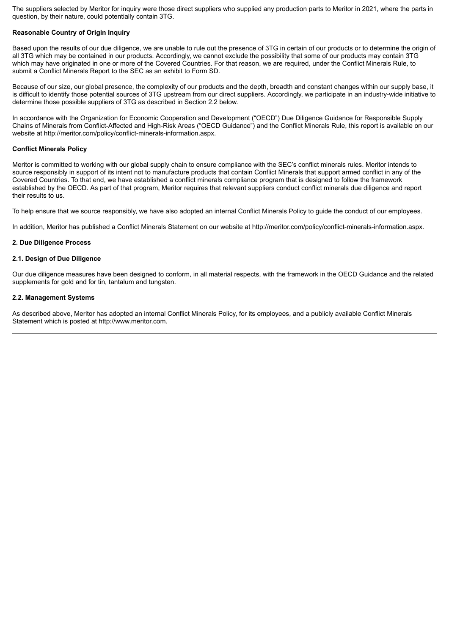The suppliers selected by Meritor for inquiry were those direct suppliers who supplied any production parts to Meritor in 2021, where the parts in question, by their nature, could potentially contain 3TG.

#### **Reasonable Country of Origin Inquiry**

Based upon the results of our due diligence, we are unable to rule out the presence of 3TG in certain of our products or to determine the origin of all 3TG which may be contained in our products. Accordingly, we cannot exclude the possibility that some of our products may contain 3TG which may have originated in one or more of the Covered Countries. For that reason, we are required, under the Conflict Minerals Rule, to submit a Conflict Minerals Report to the SEC as an exhibit to Form SD.

Because of our size, our global presence, the complexity of our products and the depth, breadth and constant changes within our supply base, it is difficult to identify those potential sources of 3TG upstream from our direct suppliers. Accordingly, we participate in an industry-wide initiative to determine those possible suppliers of 3TG as described in Section 2.2 below.

In accordance with the Organization for Economic Cooperation and Development ("OECD") Due Diligence Guidance for Responsible Supply Chains of Minerals from Conflict-Affected and High-Risk Areas ("OECD Guidance") and the Conflict Minerals Rule, this report is available on our website at http://meritor.com/policy/conflict-minerals-information.aspx.

#### **Conflict Minerals Policy**

Meritor is committed to working with our global supply chain to ensure compliance with the SEC's conflict minerals rules. Meritor intends to source responsibly in support of its intent not to manufacture products that contain Conflict Minerals that support armed conflict in any of the Covered Countries. To that end, we have established a conflict minerals compliance program that is designed to follow the framework established by the OECD. As part of that program, Meritor requires that relevant suppliers conduct conflict minerals due diligence and report their results to us.

To help ensure that we source responsibly, we have also adopted an internal Conflict Minerals Policy to guide the conduct of our employees.

In addition, Meritor has published a Conflict Minerals Statement on our website at http://meritor.com/policy/conflict-minerals-information.aspx.

#### **2. Due Diligence Process**

#### **2.1. Design of Due Diligence**

Our due diligence measures have been designed to conform, in all material respects, with the framework in the OECD Guidance and the related supplements for gold and for tin, tantalum and tungsten.

#### **2.2. Management Systems**

As described above, Meritor has adopted an internal Conflict Minerals Policy, for its employees, and a publicly available Conflict Minerals Statement which is posted at http://www.meritor.com.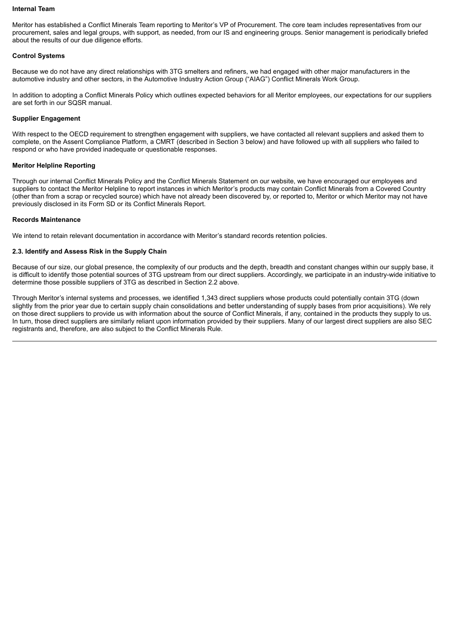#### **Internal Team**

Meritor has established a Conflict Minerals Team reporting to Meritor's VP of Procurement. The core team includes representatives from our procurement, sales and legal groups, with support, as needed, from our IS and engineering groups. Senior management is periodically briefed about the results of our due diligence efforts.

#### **Control Systems**

Because we do not have any direct relationships with 3TG smelters and refiners, we had engaged with other major manufacturers in the automotive industry and other sectors, in the Automotive Industry Action Group ("AIAG") Conflict Minerals Work Group.

In addition to adopting a Conflict Minerals Policy which outlines expected behaviors for all Meritor employees, our expectations for our suppliers are set forth in our SQSR manual.

#### **Supplier Engagement**

With respect to the OECD requirement to strengthen engagement with suppliers, we have contacted all relevant suppliers and asked them to complete, on the Assent Compliance Platform, a CMRT (described in Section 3 below) and have followed up with all suppliers who failed to respond or who have provided inadequate or questionable responses.

#### **Meritor Helpline Reporting**

Through our internal Conflict Minerals Policy and the Conflict Minerals Statement on our website, we have encouraged our employees and suppliers to contact the Meritor Helpline to report instances in which Meritor's products may contain Conflict Minerals from a Covered Country (other than from a scrap or recycled source) which have not already been discovered by, or reported to, Meritor or which Meritor may not have previously disclosed in its Form SD or its Conflict Minerals Report.

#### **Records Maintenance**

We intend to retain relevant documentation in accordance with Meritor's standard records retention policies.

#### **2.3. Identify and Assess Risk in the Supply Chain**

Because of our size, our global presence, the complexity of our products and the depth, breadth and constant changes within our supply base, it is difficult to identify those potential sources of 3TG upstream from our direct suppliers. Accordingly, we participate in an industry-wide initiative to determine those possible suppliers of 3TG as described in Section 2.2 above.

Through Meritor's internal systems and processes, we identified 1,343 direct suppliers whose products could potentially contain 3TG (down slightly from the prior year due to certain supply chain consolidations and better understanding of supply bases from prior acquisitions). We rely on those direct suppliers to provide us with information about the source of Conflict Minerals, if any, contained in the products they supply to us. In turn, those direct suppliers are similarly reliant upon information provided by their suppliers. Many of our largest direct suppliers are also SEC registrants and, therefore, are also subject to the Conflict Minerals Rule.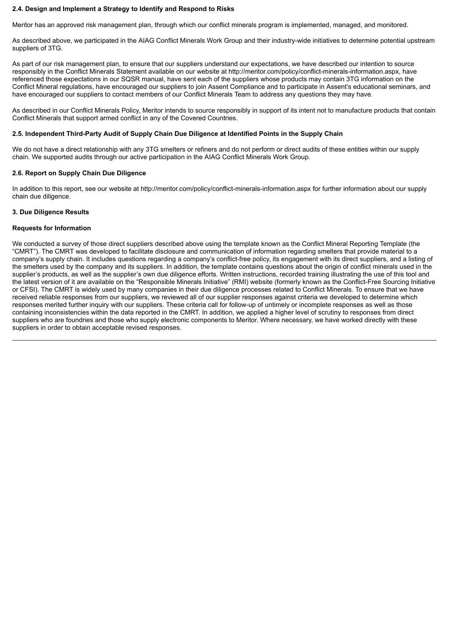#### **2.4. Design and Implement a Strategy to Identify and Respond to Risks**

Meritor has an approved risk management plan, through which our conflict minerals program is implemented, managed, and monitored.

As described above, we participated in the AIAG Conflict Minerals Work Group and their industry-wide initiatives to determine potential upstream suppliers of 3TG.

As part of our risk management plan, to ensure that our suppliers understand our expectations, we have described our intention to source responsibly in the Conflict Minerals Statement available on our website at http://meritor.com/policy/conflict-minerals-information.aspx, have referenced those expectations in our SQSR manual, have sent each of the suppliers whose products may contain 3TG information on the Conflict Mineral regulations, have encouraged our suppliers to join Assent Compliance and to participate in Assent's educational seminars, and have encouraged our suppliers to contact members of our Conflict Minerals Team to address any questions they may have.

As described in our Conflict Minerals Policy, Meritor intends to source responsibly in support of its intent not to manufacture products that contain Conflict Minerals that support armed conflict in any of the Covered Countries.

#### **2.5. Independent Third-Party Audit of Supply Chain Due Diligence at Identified Points in the Supply Chain**

We do not have a direct relationship with any 3TG smelters or refiners and do not perform or direct audits of these entities within our supply chain. We supported audits through our active participation in the AIAG Conflict Minerals Work Group.

#### **2.6. Report on Supply Chain Due Diligence**

In addition to this report, see our website at http://meritor.com/policy/conflict-minerals-information.aspx for further information about our supply chain due diligence.

#### **3. Due Diligence Results**

#### **Requests for Information**

We conducted a survey of those direct suppliers described above using the template known as the Conflict Mineral Reporting Template (the "CMRT"). The CMRT was developed to facilitate disclosure and communication of information regarding smelters that provide material to a company's supply chain. It includes questions regarding a company's conflict-free policy, its engagement with its direct suppliers, and a listing of the smelters used by the company and its suppliers. In addition, the template contains questions about the origin of conflict minerals used in the supplier's products, as well as the supplier's own due diligence efforts. Written instructions, recorded training illustrating the use of this tool and the latest version of it are available on the "Responsible Minerals Initiative" (RMI) website (formerly known as the Conflict-Free Sourcing Initiative or CFSI). The CMRT is widely used by many companies in their due diligence processes related to Conflict Minerals. To ensure that we have received reliable responses from our suppliers, we reviewed all of our supplier responses against criteria we developed to determine which responses merited further inquiry with our suppliers. These criteria call for follow-up of untimely or incomplete responses as well as those containing inconsistencies within the data reported in the CMRT. In addition, we applied a higher level of scrutiny to responses from direct suppliers who are foundries and those who supply electronic components to Meritor. Where necessary, we have worked directly with these suppliers in order to obtain acceptable revised responses.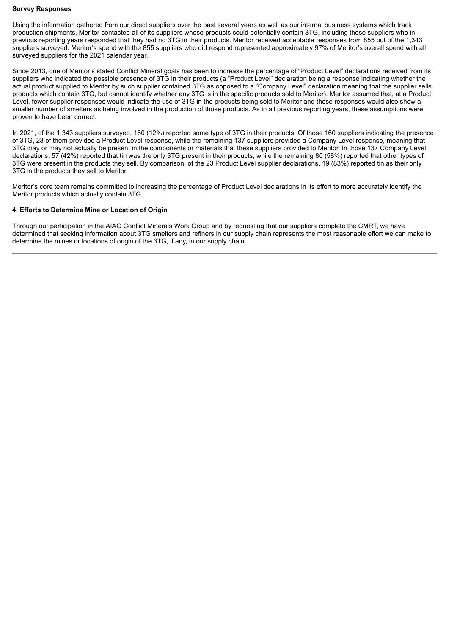#### **Survey Responses**

Using the information gathered from our direct suppliers over the past several years as well as our internal business systems which track production shipments, Meritor contacted all of its suppliers whose products could potentially contain 3TG, including those suppliers who in previous reporting years responded that they had no 3TG in their products. Meritor received acceptable responses from 855 out of the 1,343 suppliers surveyed. Meritor's spend with the 855 suppliers who did respond represented approximately 97% of Meritor's overall spend with all surveyed suppliers for the 2021 calendar year.

Since 2013, one of Meritor's stated Conflict Mineral goals has been to increase the percentage of "Product Level" declarations received from its suppliers who indicated the possible presence of 3TG in their products (a "Product Level" declaration being a response indicating whether the actual product supplied to Meritor by such supplier contained 3TG as opposed to a "Company Level" declaration meaning that the supplier sells products which contain 3TG, but cannot identify whether any 3TG is in the specific products sold to Meritor). Meritor assumed that, at a Product Level, fewer supplier responses would indicate the use of 3TG in the products being sold to Meritor and those responses would also show a smaller number of smelters as being involved in the production of those products. As in all previous reporting years, these assumptions were proven to have been correct.

In 2021, of the 1,343 suppliers surveyed, 160 (12%) reported some type of 3TG in their products. Of those 160 suppliers indicating the presence of 3TG, 23 of them provided a Product Level response, while the remaining 137 suppliers provided a Company Level response, meaning that 3TG may or may not actually be present in the components or materials that these suppliers provided to Meritor. In those 137 Company Level declarations, 57 (42%) reported that tin was the only 3TG present in their products, while the remaining 80 (58%) reported that other types of 3TG were present in the products they sell. By comparison, of the 23 Product Level supplier declarations, 19 (83%) reported tin as their only 3TG in the products they sell to Meritor.

Meritor's core team remains committed to increasing the percentage of Product Level declarations in its effort to more accurately identify the Meritor products which actually contain 3TG.

#### **4. Efforts to Determine Mine or Location of Origin**

Through our participation in the AIAG Conflict Minerals Work Group and by requesting that our suppliers complete the CMRT, we have determined that seeking information about 3TG smelters and refiners in our supply chain represents the most reasonable effort we can make to determine the mines or locations of origin of the 3TG, if any, in our supply chain.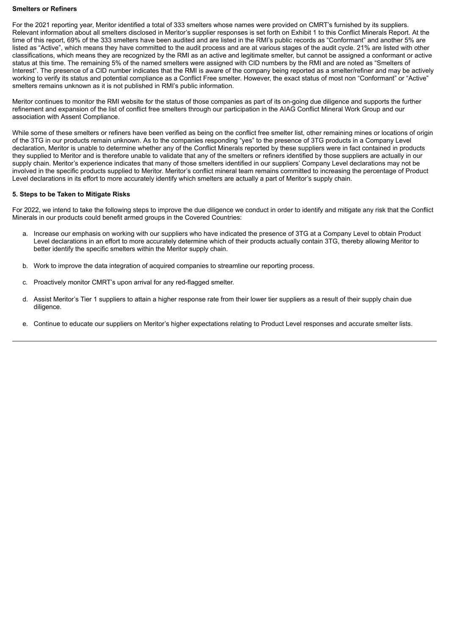#### **Smelters or Refiners**

For the 2021 reporting year, Meritor identified a total of 333 smelters whose names were provided on CMRT's furnished by its suppliers. Relevant information about all smelters disclosed in Meritor's supplier responses is set forth on Exhibit 1 to this Conflict Minerals Report. At the time of this report, 69% of the 333 smelters have been audited and are listed in the RMI's public records as "Conformant" and another 5% are listed as "Active", which means they have committed to the audit process and are at various stages of the audit cycle. 21% are listed with other classifications, which means they are recognized by the RMI as an active and legitimate smelter, but cannot be assigned a conformant or active status at this time. The remaining 5% of the named smelters were assigned with CID numbers by the RMI and are noted as "Smelters of Interest". The presence of a CID number indicates that the RMI is aware of the company being reported as a smelter/refiner and may be actively working to verify its status and potential compliance as a Conflict Free smelter. However, the exact status of most non "Conformant" or "Active" smelters remains unknown as it is not published in RMI's public information.

Meritor continues to monitor the RMI website for the status of those companies as part of its on-going due diligence and supports the further refinement and expansion of the list of conflict free smelters through our participation in the AIAG Conflict Mineral Work Group and our association with Assent Compliance.

While some of these smelters or refiners have been verified as being on the conflict free smelter list, other remaining mines or locations of origin of the 3TG in our products remain unknown. As to the companies responding "yes" to the presence of 3TG products in a Company Level declaration, Meritor is unable to determine whether any of the Conflict Minerals reported by these suppliers were in fact contained in products they supplied to Meritor and is therefore unable to validate that any of the smelters or refiners identified by those suppliers are actually in our supply chain. Meritor's experience indicates that many of those smelters identified in our suppliers' Company Level declarations may not be involved in the specific products supplied to Meritor. Meritor's conflict mineral team remains committed to increasing the percentage of Product Level declarations in its effort to more accurately identify which smelters are actually a part of Meritor's supply chain.

#### **5. Steps to be Taken to Mitigate Risks**

For 2022, we intend to take the following steps to improve the due diligence we conduct in order to identify and mitigate any risk that the Conflict Minerals in our products could benefit armed groups in the Covered Countries:

- a. Increase our emphasis on working with our suppliers who have indicated the presence of 3TG at a Company Level to obtain Product Level declarations in an effort to more accurately determine which of their products actually contain 3TG, thereby allowing Meritor to better identify the specific smelters within the Meritor supply chain.
- b. Work to improve the data integration of acquired companies to streamline our reporting process.
- c. Proactively monitor CMRT's upon arrival for any red-flagged smelter.
- d. Assist Meritor's Tier 1 suppliers to attain a higher response rate from their lower tier suppliers as a result of their supply chain due diligence.
- e. Continue to educate our suppliers on Meritor's higher expectations relating to Product Level responses and accurate smelter lists.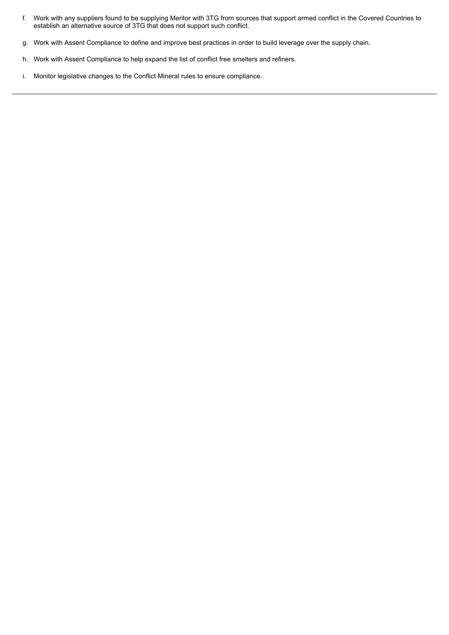- f. Work with any suppliers found to be supplying Meritor with 3TG from sources that support armed conflict in the Covered Countries to establish an alternative source of 3TG that does not support such conflict.
- g. Work with Assent Compliance to define and improve best practices in order to build leverage over the supply chain.
- h. Work with Assent Compliance to help expand the list of conflict free smelters and refiners.
- i. Monitor legislative changes to the Conflict Mineral rules to ensure compliance.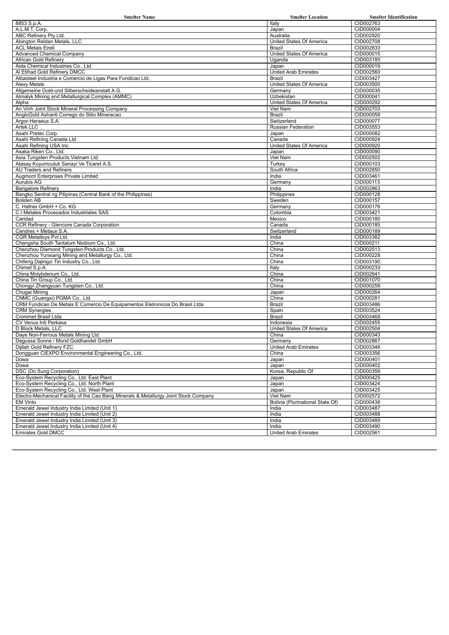| <b>Smelter Name</b>                                                                   | <b>Smelter Location</b>            | <b>Smelter Identification</b> |
|---------------------------------------------------------------------------------------|------------------------------------|-------------------------------|
| 8853 S.p.A.                                                                           | Italy                              | CID002763                     |
| A.L.M.T. Corp.                                                                        | Japan                              | CID000004                     |
| ABC Refinery Pty Ltd.                                                                 | Australia                          | CID002920                     |
| Abington Reldan Metals, LLC                                                           | United States Of America           | CID002708                     |
| <b>ACL Metais Eireli</b>                                                              | Brazil                             | CID002833                     |
| <b>Advanced Chemical Company</b><br>African Gold Refinery                             | United States Of America<br>Uganda | CID000015<br>CID003185        |
| Aida Chemical Industries Co., Ltd.                                                    | Japan                              | CID000019                     |
| Al Etihad Gold Refinery DMCC                                                          | <b>United Arab Emirates</b>        | CID002560                     |
| Albasteel Industria e Comercio de Ligas Para Fundicao Ltd.                            | <b>Brazil</b>                      | CID003427                     |
| <b>Alexy Metals</b>                                                                   | United States Of America           | CID003500                     |
| Allgemeine Gold-und Silberscheideanstalt A.G.                                         | Germany                            | CID000035                     |
| Almalyk Mining and Metallurgical Complex (AMMC)                                       | Uzbekistan                         | CID000041                     |
| Alpha                                                                                 | United States Of America           | CID000292                     |
| An Vinh Joint Stock Mineral Processing Company                                        | Viet Nam                           | CID002703                     |
| AngloGold Ashanti Corrego do Sitio Mineracao                                          | <b>Brazil</b>                      | CID000058                     |
| Argor-Heraeus S.A.                                                                    | Switzerland                        | CID000077                     |
| Artek LLC<br>Asahi Pretec Corp.                                                       | Russian Federation<br>Japan        | CID003553<br>CID000082        |
| Asahi Refining Canada Ltd.                                                            | Canada                             | CID000924                     |
| Asahi Refining USA Inc.                                                               | United States Of America           | CID000920                     |
| Asaka Riken Co., Ltd.                                                                 | Japan                              | CID000090                     |
| Asia Tungsten Products Vietnam Ltd.                                                   | Viet Nam                           | CID002502                     |
| Atasay Kuyumculuk Sanayi Ve Ticaret A.S.                                              | Turkey                             | CID000103                     |
| AU Traders and Refiners                                                               | South Africa                       | CID002850                     |
| <b>Augmont Enterprises Private Limited</b>                                            | India                              | CID003461                     |
| Aurubis AG                                                                            | Germany                            | CID000113                     |
| <b>Bangalore Refinery</b>                                                             | India                              | CID002863                     |
| Bangko Sentral ng Pilipinas (Central Bank of the Philippines)                         | Philippines                        | CID000128                     |
| <b>Boliden AB</b>                                                                     | Sweden                             | CID000157                     |
| C. Hafner GmbH + Co. KG                                                               | Germany                            | CID000176                     |
| C.I Metales Procesados Industriales SAS<br>Caridad                                    | Colombia                           | CID003421                     |
| CCR Refinery - Glencore Canada Corporation                                            | Mexico<br>Canada                   | CID000180<br>CID000185        |
| Cendres + Metaux S.A.                                                                 | Switzerland                        | CID000189                     |
| CGR Metalloys Pvt Ltd.                                                                | India                              | CID003382                     |
| Changsha South Tantalum Niobium Co., Ltd.                                             | China                              | CID000211                     |
| Chenzhou Diamond Tungsten Products Co., Ltd.                                          | China                              | CID002513                     |
| Chenzhou Yunxiang Mining and Metallurgy Co., Ltd.                                     | China                              | CID000228                     |
| Chifeng Dajingzi Tin Industry Co., Ltd.                                               | China                              | CID003190                     |
| Chimet S.p.A.                                                                         | Italy                              | CID000233                     |
| China Molybdenum Co., Ltd.                                                            | China                              | CID002641                     |
| China Tin Group Co., Ltd.                                                             | China                              | CID001070                     |
| Chongyi Zhangyuan Tungsten Co., Ltd.                                                  | China                              | CID000258                     |
| Chugai Mining<br>CNMC (Guangxi) PGMA Co., Ltd.                                        | Japan<br>China                     | CID000264<br>CID000281        |
| CRM Fundicao De Metais E Comercio De Equipamentos Eletronicos Do Brasil Ltda          | <b>Brazil</b>                      | CID003486                     |
| <b>CRM Synergies</b>                                                                  | Spain                              | CID003524                     |
| <b>Cronimet Brasil Ltda</b>                                                           | <b>Brazil</b>                      | CID003468                     |
| CV Venus Inti Perkasa                                                                 | Indonesia                          | CID002455                     |
| D Block Metals, LLC                                                                   | United States Of America           | CID002504                     |
| Daye Non-Ferrous Metals Mining Ltd.                                                   | China                              | CID000343                     |
| Degussa Sonne / Mond Goldhandel GmbH                                                  | Germany                            | CID002867                     |
| Dijllah Gold Refinery FZC                                                             | <b>United Arab Emirates</b>        | CID003348                     |
| Dongguan CiEXPO Environmental Engineering Co., Ltd.                                   | China                              | CID003356                     |
| Dowa                                                                                  | Japan                              | CID000401                     |
| Dowa                                                                                  | Japan                              | CID000402                     |
| DSC (Do Sung Corporation)<br>Eco-System Recycling Co., Ltd. East Plant                | Korea, Republic Of                 | CID000359<br>CID000425        |
| Eco-System Recycling Co., Ltd. North Plant                                            | Japan<br>Japan                     | CID003424                     |
| Eco-System Recycling Co., Ltd. West Plant                                             | Japan                              | CID003425                     |
| Electro-Mechanical Facility of the Cao Bang Minerals & Metallurgy Joint Stock Company | Viet Nam                           | CID002572                     |
| <b>EM Vinto</b>                                                                       | Bolivia (Plurinational State Of)   | CID000438                     |
| Emerald Jewel Industry India Limited (Unit 1)                                         | India                              | CID003487                     |
| Emerald Jewel Industry India Limited (Unit 2)                                         | India                              | CID003488                     |
| Emerald Jewel Industry India Limited (Unit 3)                                         | India                              | CID003489                     |
| Emerald Jewel Industry India Limited (Unit 4)                                         | India                              | CID003490                     |
| <b>Emirates Gold DMCC</b>                                                             | <b>United Arab Emirates</b>        | CID002561                     |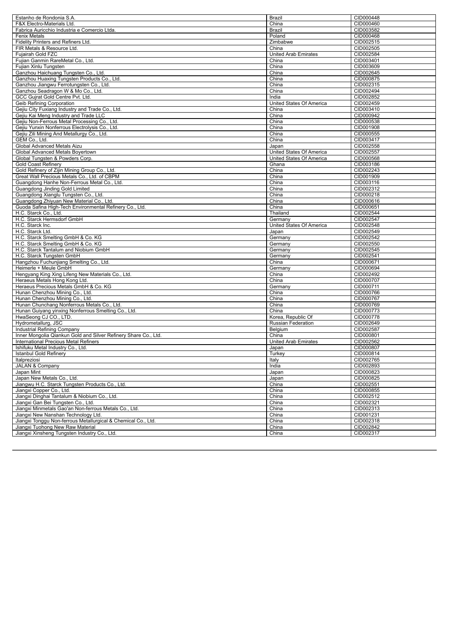| Estanho de Rondonia S.A.                                                                           | Brazil                            | CID000448              |
|----------------------------------------------------------------------------------------------------|-----------------------------------|------------------------|
| F&X Electro-Materials Ltd.                                                                         | China                             | CID000460              |
| Fabrica Auricchio Industria e Comercio Ltda.                                                       | Brazil                            | CID003582              |
| <b>Fenix Metals</b>                                                                                | Poland                            | CID000468              |
| Fidelity Printers and Refiners Ltd.                                                                | Zimbabwe                          | CID002515              |
| FIR Metals & Resource Ltd.                                                                         | China                             | CID002505              |
| Fujairah Gold FZC                                                                                  | <b>United Arab Emirates</b>       | CID002584              |
| Fujian Ganmin RareMetal Co., Ltd.                                                                  | China                             | CID003401              |
| Fujian Xinlu Tungsten                                                                              | China                             | CID003609              |
| Ganzhou Haichuang Tungsten Co., Ltd.                                                               | China                             | CID002645              |
| Ganzhou Huaxing Tungsten Products Co., Ltd.                                                        | China                             | CID000875              |
| Ganzhou Jiangwu Ferrotungsten Co., Ltd.                                                            | China                             | CID002315              |
| Ganzhou Seadragon W & Mo Co., Ltd.                                                                 | China                             | CID002494              |
| GCC Gujrat Gold Centre Pvt. Ltd.                                                                   | India                             | CID002852<br>CID002459 |
| <b>Geib Refining Corporation</b><br>Gejiu City Fuxiang Industry and Trade Co., Ltd.                | United States Of America<br>China | CID003410              |
| Gejiu Kai Meng Industry and Trade LLC                                                              | China                             | CID000942              |
| Gejiu Non-Ferrous Metal Processing Co., Ltd.                                                       | China                             | CID000538              |
| Gejiu Yunxin Nonferrous Electrolysis Co., Ltd.                                                     | China                             | CID001908              |
| Gejiu Zili Mining And Metallurgy Co., Ltd.                                                         | China                             | CID000555              |
| GEM Co., Ltd.                                                                                      | China                             | CID003417              |
| Global Advanced Metals Aizu                                                                        | Japan                             | CID002558              |
| Global Advanced Metals Boyertown                                                                   | United States Of America          | CID002557              |
| Global Tungsten & Powders Corp.                                                                    | United States Of America          | CID000568              |
| <b>Gold Coast Refinery</b>                                                                         | Ghana                             | CID003186              |
| Gold Refinery of Zijin Mining Group Co., Ltd.                                                      | China                             | CID002243              |
| Great Wall Precious Metals Co., Ltd. of CBPM                                                       | China                             | CID001909              |
| Guangdong Hanhe Non-Ferrous Metal Co., Ltd.                                                        | China                             | CID003116              |
| Guangdong Jinding Gold Limited                                                                     | China                             | CID002312              |
| Guangdong Xianglu Tungsten Co., Ltd.                                                               | China                             | CID000218              |
| Guangdong Zhiyuan New Material Co., Ltd.                                                           | China                             | CID000616              |
| Guoda Safina High-Tech Environmental Refinery Co., Ltd.                                            | China                             | CID000651              |
| H.C. Starck Co., Ltd.                                                                              | Thailand                          | CID002544              |
| H.C. Starck Hermsdorf GmbH                                                                         | Germany                           | CID002547              |
| H.C. Starck Inc.                                                                                   | United States Of America          | CID002548              |
| H.C. Starck Ltd.                                                                                   | Japan                             | CID002549              |
| H.C. Starck Smelting GmbH & Co. KG                                                                 | Germany                           | CID002542              |
| H.C. Starck Smelting GmbH & Co. KG                                                                 | Germany                           | CID002550              |
| H.C. Starck Tantalum and Niobium GmbH                                                              | Germany                           | CID002545              |
| H.C. Starck Tungsten GmbH                                                                          | Germany                           | CID002541              |
| Hangzhou Fuchunjiang Smelting Co., Ltd.                                                            | China                             | CID000671              |
| Heimerle + Meule GmbH                                                                              | Germany                           | CID000694              |
| Hengyang King Xing Lifeng New Materials Co., Ltd.                                                  | China                             | CID002492              |
| Heraeus Metals Hong Kong Ltd.                                                                      | China                             | CID000707              |
| Heraeus Precious Metals GmbH & Co. KG                                                              | Germany                           | CID000711              |
| Hunan Chenzhou Mining Co., Ltd.                                                                    | China                             | CID000766              |
| Hunan Chenzhou Mining Co., Ltd.                                                                    | China                             | CID000767<br>CID000769 |
| Hunan Chunchang Nonferrous Metals Co., Ltd.<br>Hunan Guiyang yinxing Nonferrous Smelting Co., Ltd. | China<br>China                    | CID000773              |
| HwaSeong CJ CO., LTD.                                                                              | Korea, Republic Of                | CID000778              |
| Hydrometallurg, JSC                                                                                | Russian Federation                | CID002649              |
| Industrial Refining Company                                                                        | Belgium                           | CID002587              |
| Inner Mongolia Qiankun Gold and Silver Refinery Share Co., Ltd.                                    | China                             | CID000801              |
| International Precious Metal Refiners                                                              | <b>United Arab Emirates</b>       | CID002562              |
| Ishifuku Metal Industry Co., Ltd.                                                                  | Japan                             | CID000807              |
| <b>Istanbul Gold Refinery</b>                                                                      | Turkey                            | CID000814              |
| Italpreziosi                                                                                       | Italy                             | CID002765              |
| JALAN & Company                                                                                    | India                             | CID002893              |
| Japan Mint                                                                                         | Japan                             | CID000823              |
| Japan New Metals Co., Ltd.                                                                         | Japan                             | CID000825              |
| Jiangwu H.C. Starck Tungsten Products Co., Ltd.                                                    | China                             | CID002551              |
| Jiangxi Copper Co., Ltd.                                                                           | China                             | CID000855              |
| Jiangxi Dinghai Tantalum & Niobium Co., Ltd.                                                       | China                             | CID002512              |
| Jiangxi Gan Bei Tungsten Co., Ltd.                                                                 | China                             | CID002321              |
| Jiangxi Minmetals Gao'an Non-ferrous Metals Co., Ltd.                                              | China                             | CID002313              |
| Jiangxi New Nanshan Technology Ltd.                                                                | China                             | CID001231              |
| Jiangxi Tonggu Non-ferrous Metallurgical & Chemical Co., Ltd.                                      | China                             | CID002318              |
|                                                                                                    |                                   |                        |
| Jiangxi Tuohong New Raw Material<br>Jiangxi Xinsheng Tungsten Industry Co., Ltd.                   | China<br>China                    | CID002842<br>CID002317 |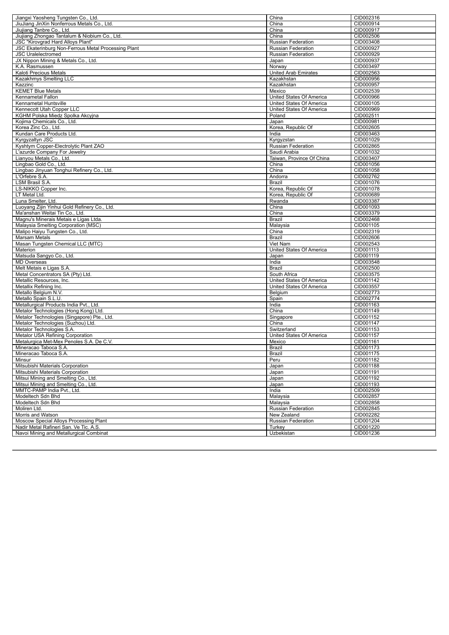| Jiangxi Yaosheng Tungsten Co., Ltd.                                               | China                              | CID002316              |
|-----------------------------------------------------------------------------------|------------------------------------|------------------------|
| JiuJiang JinXin Nonferrous Metals Co., Ltd.                                       | China                              | CID000914              |
| Jiujiang Tanbre Co., Ltd.                                                         | China                              | CID000917              |
| Jiujiang Zhongao Tantalum & Niobium Co., Ltd.                                     | China                              | CID002506              |
| JSC "Kirovgrad Hard Alloys Plant"                                                 | <b>Russian Federation</b>          | CID003408              |
| JSC Ekaterinburg Non-Ferrous Metal Processing Plant                               | Russian Federation                 | CID000927              |
| <b>JSC Uralelectromed</b>                                                         | Russian Federation                 | CID000929              |
| JX Nippon Mining & Metals Co., Ltd.                                               | Japan                              | CID000937              |
| K.A. Rasmussen                                                                    | Norway                             | CID003497              |
| Kaloti Precious Metals                                                            | <b>United Arab Emirates</b>        | CID002563              |
| Kazakhmys Smelting LLC                                                            | Kazakhstan                         | CID000956              |
| Kazzinc                                                                           | Kazakhstan                         | CID000957              |
| <b>KEMET Blue Metals</b>                                                          | Mexico                             | CID002539              |
| <b>Kennametal Fallon</b>                                                          | United States Of America           | CID000966              |
| Kennametal Huntsville                                                             | United States Of America           | CID000105              |
| Kennecott Utah Copper LLC                                                         | United States Of America<br>Poland | CID000969<br>CID002511 |
| KGHM Polska Miedz Spolka Akcyjna<br>Kojima Chemicals Co., Ltd.                    | Japan                              | CID000981              |
| Korea Zinc Co., Ltd.                                                              | Korea, Republic Of                 | CID002605              |
| Kundan Care Products Ltd.                                                         | India                              | CID003463              |
| Kyrgyzaltyn JSC                                                                   | Kyrgyzstan                         | CID001029              |
| Kyshtym Copper-Electrolytic Plant ZAO                                             | Russian Federation                 | CID002865              |
| L'azurde Company For Jewelry                                                      | Saudi Arabia                       | CID001032              |
| Lianyou Metals Co., Ltd.                                                          | Taiwan, Province Of China          | CID003407              |
| Lingbao Gold Co., Ltd.                                                            | China                              | CID001056              |
| Lingbao Jinyuan Tonghui Refinery Co., Ltd.                                        | $\overline{\text{China}}$          | CID001058              |
| L'Orfebre S.A.                                                                    | Andorra                            | CID002762              |
| LSM Brasil S.A.                                                                   | Brazil                             | CID001076              |
| LS-NIKKO Copper Inc.                                                              | Korea, Republic Of                 | CID001078              |
| LT Metal Ltd.                                                                     | Korea, Republic Of                 | CID000689              |
| Luna Smelter, Ltd.                                                                | Rwanda                             | CID003387              |
| Luoyang Zijin Yinhui Gold Refinery Co., Ltd.                                      | China                              | CID001093              |
| Ma'anshan Weitai Tin Co., Ltd.                                                    | China                              | CID003379              |
| Magnu's Minerais Metais e Ligas Ltda.                                             | Brazil                             | CID002468              |
| Malaysia Smelting Corporation (MSC)                                               | Malaysia                           | CID001105              |
| Malipo Haiyu Tungsten Co., Ltd.                                                   | China                              | CID002319              |
| Marsam Metals                                                                     | Brazil                             | CID002606              |
| Masan Tungsten Chemical LLC (MTC)                                                 | Viet Nam                           | CID002543              |
| Materion                                                                          | United States Of America           | CID001113              |
| Matsuda Sangyo Co., Ltd.                                                          | Japan                              | CID001119              |
| MD Overseas                                                                       | India                              | CID003548              |
| Melt Metais e Ligas S.A.                                                          | Brazil                             | CID002500              |
| Metal Concentrators SA (Pty) Ltd.                                                 | South Africa                       | CID003575              |
| Metallic Resources, Inc.                                                          | United States Of America           | CID001142              |
| Metallix Refining Inc.                                                            | United States Of America           | CID003557              |
| Metallo Belgium N.V.                                                              | Belgium                            | CID002773              |
| Metallo Spain S.L.U.                                                              | Spain                              | CID002774              |
| Metallurgical Products India Pvt., Ltd.                                           | India                              | CID001163              |
| Metalor Technologies (Hong Kong) Ltd.                                             | China                              | CID001149              |
| Metalor Technologies (Singapore) Pte., Ltd.<br>Metalor Technologies (Suzhou) Ltd. | Singapore                          | CID001152<br>CID001147 |
| Metalor Technologies S.A.                                                         | China<br>Switzerland               | CID001153              |
| Metalor USA Refining Corporation                                                  | United States Of America           | CID001157              |
| Metalurgica Met-Mex Penoles S.A. De C.V.                                          | Mexico                             | CID001161              |
| Mineracao Taboca S.A.                                                             | Brazil                             | CID001173              |
| Mineracao Taboca S.A.                                                             | Brazil                             | CID001175              |
| Minsur                                                                            | Peru                               | CID001182              |
| Mitsubishi Materials Corporation                                                  | Japan                              | CID001188              |
| Mitsubishi Materials Corporation                                                  | Japan                              | CID001191              |
| Mitsui Mining and Smelting Co., Ltd.                                              | Japan                              | CID001192              |
| Mitsui Mining and Smelting Co., Ltd.                                              | Japan                              | CID001193              |
| MMTC-PAMP India Pvt., Ltd.                                                        | India                              | CID002509              |
| Modeltech Sdn Bhd                                                                 | Malaysia                           | CID002857              |
| Modeltech Sdn Bhd                                                                 | Malaysia                           | CID002858              |
| Moliren Ltd.                                                                      | Russian Federation                 | CID002845              |
| Morris and Watson                                                                 | New Zealand                        | CID002282              |
| Moscow Special Alloys Processing Plant                                            | Russian Federation                 | CID001204              |
| Nadir Metal Rafineri San. Ve Tic. A.S.                                            | Turkey                             | CID001220              |
| Navoi Mining and Metallurgical Combinat                                           | Uzbekistan                         | CID001236              |
|                                                                                   |                                    |                        |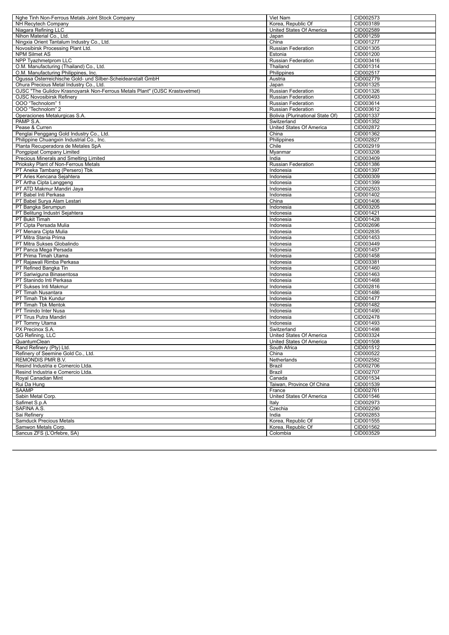| Nghe Tinh Non-Ferrous Metals Joint Stock Company                                | Viet Nam                         | CID002573 |
|---------------------------------------------------------------------------------|----------------------------------|-----------|
| <b>NH Recytech Company</b>                                                      | Korea, Republic Of               | CID003189 |
| Niagara Refining LLC                                                            | United States Of America         | CID002589 |
| Nihon Material Co., Ltd.                                                        | Japan                            | CID001259 |
| Ningxia Orient Tantalum Industry Co., Ltd.                                      | China                            | CID001277 |
| Novosibirsk Processing Plant Ltd.                                               | Russian Federation               | CID001305 |
| <b>NPM Silmet AS</b>                                                            | Estonia                          | CID001200 |
| NPP Tyazhmetprom LLC                                                            | <b>Russian Federation</b>        | CID003416 |
| O.M. Manufacturing (Thailand) Co., Ltd.                                         | Thailand                         | CID001314 |
| O.M. Manufacturing Philippines, Inc.                                            | Philippines                      | CID002517 |
| Ogussa Osterreichische Gold- und Silber-Scheideanstalt GmbH                     | Austria                          | CID002779 |
| Ohura Precious Metal Industry Co., Ltd.                                         | Japan                            | CID001325 |
| OJSC "The Gulidov Krasnoyarsk Non-Ferrous Metals Plant" (OJSC Krastsvetmet)     | Russian Federation               | CID001326 |
| <b>OJSC Novosibirsk Refinery</b>                                                | <b>Russian Federation</b>        | CID000493 |
| OOO "Technolom" 1                                                               | <b>Russian Federation</b>        | CID003614 |
| OOO "Technolom" 2                                                               | Russian Federation               | CID003612 |
| Operaciones Metalurgicas S.A.                                                   | Bolivia (Plurinational State Of) | CID001337 |
| PAMP S.A.                                                                       | Switzerland                      | CID001352 |
| Pease & Curren                                                                  | United States Of America         | CID002872 |
| Penglai Penggang Gold Industry Co., Ltd.                                        | China                            | CID001362 |
|                                                                                 | Philippines                      | CID002827 |
| Philippine Chuangxin Industrial Co., Inc.<br>Planta Recuperadora de Metales SpA | Chile                            | CID002919 |
|                                                                                 |                                  | CID003208 |
| Pongpipat Company Limited                                                       | Myanmar                          |           |
| Precious Minerals and Smelting Limited                                          | India                            | CID003409 |
| Prioksky Plant of Non-Ferrous Metals                                            | Russian Federation               | CID001386 |
| PT Aneka Tambang (Persero) Tbk                                                  | Indonesia                        | CID001397 |
| PT Aries Kencana Sejahtera                                                      | Indonesia                        | CID000309 |
| PT Artha Cipta Langgeng                                                         | Indonesia                        | CID001399 |
| PT ATD Makmur Mandiri Jaya                                                      | Indonesia                        | CID002503 |
| PT Babel Inti Perkasa                                                           | Indonesia                        | CID001402 |
| PT Babel Surya Alam Lestari                                                     | China                            | CID001406 |
| PT Bangka Serumpun                                                              | Indonesia                        | CID003205 |
| PT Belitung Industri Sejahtera                                                  | Indonesia                        | CID001421 |
| PT Bukit Timah                                                                  | Indonesia                        | CID001428 |
| PT Cipta Persada Mulia                                                          | Indonesia                        | CID002696 |
| PT Menara Cipta Mulia                                                           | Indonesia                        | CID002835 |
| PT Mitra Stania Prima                                                           | Indonesia                        | CID001453 |
| PT Mitra Sukses Globalindo                                                      | Indonesia                        | CID003449 |
| PT Panca Mega Persada                                                           | Indonesia                        | CID001457 |
| PT Prima Timah Utama                                                            | Indonesia                        | CID001458 |
| PT Rajawali Rimba Perkasa                                                       | Indonesia                        | CID003381 |
| PT Refined Bangka Tin                                                           | Indonesia                        | CID001460 |
| PT Sariwiguna Binasentosa                                                       | Indonesia                        | CID001463 |
| PT Stanindo Inti Perkasa                                                        | Indonesia                        | CID001468 |
| PT Sukses Inti Makmur                                                           | Indonesia                        | CID002816 |
| PT Timah Nusantara                                                              | Indonesia                        | CID001486 |
| PT Timah Tbk Kundur                                                             | Indonesia                        | CID001477 |
| PT Timah Tbk Mentok                                                             | Indonesia                        | CID001482 |
| PT Tinindo Inter Nusa                                                           | Indonesia                        | CID001490 |
| PT Tirus Putra Mandiri                                                          | Indonesia                        | CID002478 |
| PT Tommy Utama                                                                  | Indonesia                        | CID001493 |
| PX Precinox S.A.                                                                | Switzerland                      | CID001498 |
| QG Refining, LLC                                                                | United States Of America         | CID003324 |
| QuantumClean                                                                    | United States Of America         | CID001508 |
| Rand Refinery (Pty) Ltd.                                                        | South Africa                     | CID001512 |
| Refinery of Seemine Gold Co., Ltd.                                              | China                            | CID000522 |
| REMONDIS PMR B.V.                                                               | Netherlands                      | CID002582 |
| Resind Industria e Comercio Ltda.                                               | Brazil                           | CID002706 |
| Resind Industria e Comercio Ltda.                                               | Brazil                           | CID002707 |
| Royal Canadian Mint                                                             | Canada                           | CID001534 |
| Rui Da Hung                                                                     | Taiwan, Province Of China        | CID001539 |
| <b>SAAMP</b>                                                                    | France                           | CID002761 |
| Sabin Metal Corp.                                                               | United States Of America         | CID001546 |
| Safimet S.p.A                                                                   | Italy                            | CID002973 |
| SAFINA A.S.                                                                     | Czechia                          | CID002290 |
| Sai Refinery                                                                    | India                            | CID002853 |
| <b>Samduck Precious Metals</b>                                                  | Korea, Republic Of               | CID001555 |
| Samwon Metals Corp.                                                             | Korea, Republic Of               | CID001562 |
| Sancus ZFS (L'Orfebre, SA)                                                      | Colombia                         | CID003529 |
|                                                                                 |                                  |           |